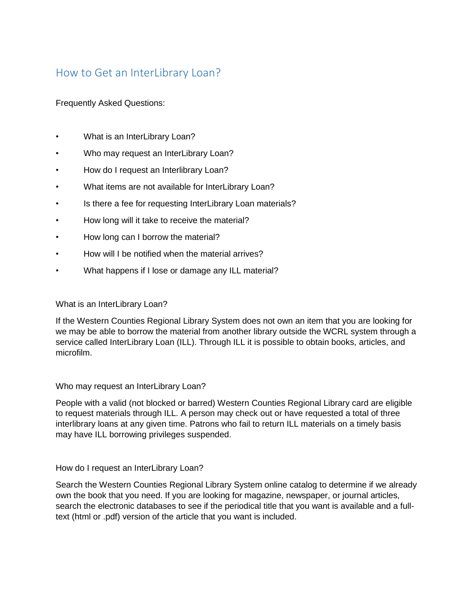# How to Get an InterLibrary Loan?

Frequently Asked Questions:

- What is an InterLibrary Loan?
- Who may request an InterLibrary Loan?
- How do I request an Interlibrary Loan?
- What items are not available for InterLibrary Loan?
- Is there a fee for requesting InterLibrary Loan materials?
- How long will it take to receive the material?
- How long can I borrow the material?
- How will I be notified when the material arrives?
- What happens if I lose or damage any ILL material?

## What is an InterLibrary Loan?

If the Western Counties Regional Library System does not own an item that you are looking for we may be able to borrow the material from another library outside the WCRL system through a service called InterLibrary Loan (ILL). Through ILL it is possible to obtain books, articles, and microfilm.

#### Who may request an InterLibrary Loan?

People with a valid (not blocked or barred) Western Counties Regional Library card are eligible to request materials through ILL. A person may check out or have requested a total of three interlibrary loans at any given time. Patrons who fail to return ILL materials on a timely basis may have ILL borrowing privileges suspended.

## How do I request an InterLibrary Loan?

Search the Western Counties Regional Library System online catalog to determine if we already own the book that you need. If you are looking for magazine, newspaper, or journal articles, search the electronic databases to see if the periodical title that you want is available and a fulltext (html or .pdf) version of the article that you want is included.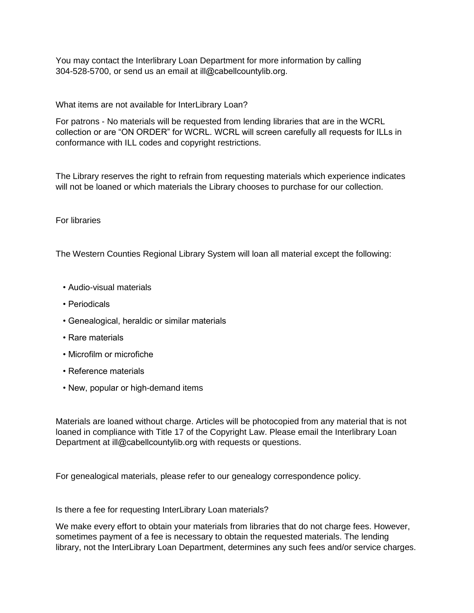You may contact the Interlibrary Loan Department for more information by calling 304-528-5700, or send us an email at ill@cabellcountylib.org.

What items are not available for InterLibrary Loan?

For patrons - No materials will be requested from lending libraries that are in the WCRL collection or are "ON ORDER" for WCRL. WCRL will screen carefully all requests for ILLs in conformance with ILL codes and copyright restrictions.

The Library reserves the right to refrain from requesting materials which experience indicates will not be loaned or which materials the Library chooses to purchase for our collection.

### For libraries

The Western Counties Regional Library System will loan all material except the following:

- Audio-visual materials
- Periodicals
- Genealogical, heraldic or similar materials
- Rare materials
- Microfilm or microfiche
- Reference materials
- New, popular or high-demand items

Materials are loaned without charge. Articles will be photocopied from any material that is not loaned in compliance with Title 17 of the Copyright Law. Please email the Interlibrary Loan Department at ill@cabellcountylib.org with requests or questions.

For genealogical materials, please refer to our genealogy correspondence policy.

Is there a fee for requesting InterLibrary Loan materials?

We make every effort to obtain your materials from libraries that do not charge fees. However, sometimes payment of a fee is necessary to obtain the requested materials. The lending library, not the InterLibrary Loan Department, determines any such fees and/or service charges.